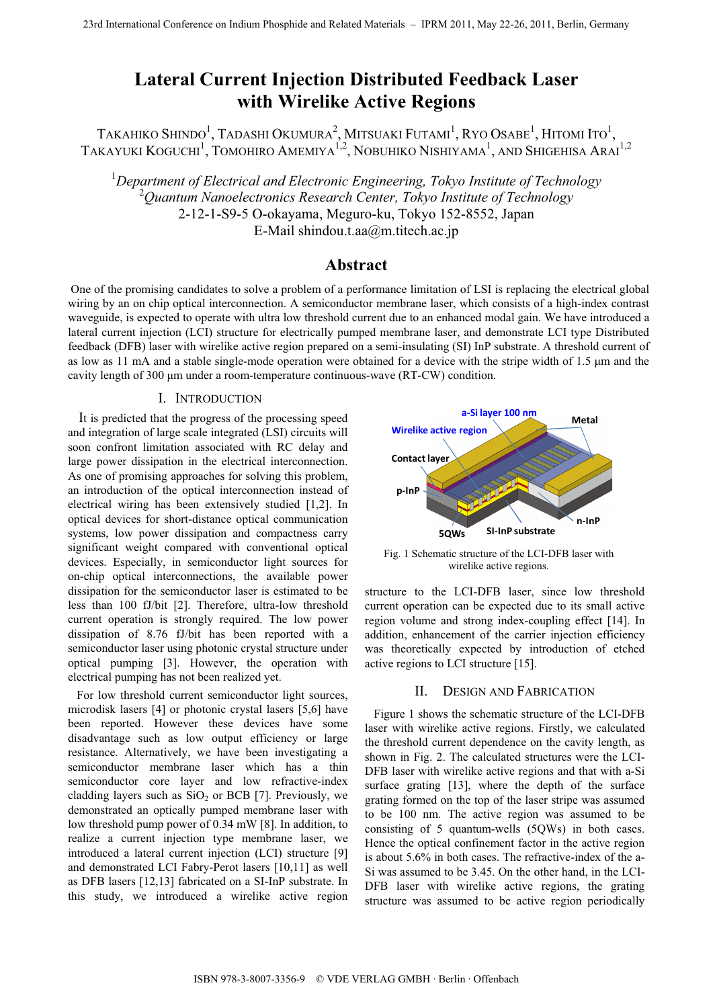# **Lateral Current Injection Distributed Feedback Laser with Wirelike Active Regions**

TAKAHIKO SHINDO $^1$ , Tadashi Okumura $^2$ , Mitsuaki Futami $^1$ , Ryo Osabe $^1$ , Hitomi Ito $^1$ , TAKAYUKI KOGUCHI<sup>1</sup>, TOMOHIRO AMEMIYA<sup>1,2</sup>, NOBUHIKO NISHIYAMA<sup>1</sup>, AND SHIGEHISA ARAI<sup>1,2</sup>

1 *Department of Electrical and Electronic Engineering, Tokyo Institute of Technology* 2 *Quantum Nanoelectronics Research Center, Tokyo Institute of Technology* 2-12-1-S9-5 O-okayama, Meguro-ku, Tokyo 152-8552, Japan E-Mail shindou.t.aa@m.titech.ac.jp

# **Abstract**

 One of the promising candidates to solve a problem of a performance limitation of LSI is replacing the electrical global wiring by an on chip optical interconnection. A semiconductor membrane laser, which consists of a high-index contrast waveguide, is expected to operate with ultra low threshold current due to an enhanced modal gain. We have introduced a lateral current injection (LCI) structure for electrically pumped membrane laser, and demonstrate LCI type Distributed feedback (DFB) laser with wirelike active region prepared on a semi-insulating (SI) InP substrate. A threshold current of as low as 11 mA and a stable single-mode operation were obtained for a device with the stripe width of  $1.5 \mu m$  and the cavity length of 300 µm under a room-temperature continuous-wave (RT-CW) condition.

# I. INTRODUCTION

 It is predicted that the progress of the processing speed and integration of large scale integrated (LSI) circuits will soon confront limitation associated with RC delay and large power dissipation in the electrical interconnection. As one of promising approaches for solving this problem, an introduction of the optical interconnection instead of electrical wiring has been extensively studied [1,2]. In optical devices for short-distance optical communication systems, low power dissipation and compactness carry significant weight compared with conventional optical devices. Especially, in semiconductor light sources for on-chip optical interconnections, the available power dissipation for the semiconductor laser is estimated to be less than 100 fJ/bit [2]. Therefore, ultra-low threshold current operation is strongly required. The low power dissipation of 8.76 fJ/bit has been reported with a semiconductor laser using photonic crystal structure under optical pumping [3]. However, the operation with electrical pumping has not been realized yet.

 For low threshold current semiconductor light sources, microdisk lasers [4] or photonic crystal lasers [5,6] have been reported. However these devices have some disadvantage such as low output efficiency or large resistance. Alternatively, we have been investigating a semiconductor membrane laser which has a thin semiconductor core layer and low refractive-index cladding layers such as  $SiO<sub>2</sub>$  or BCB [7]. Previously, we demonstrated an optically pumped membrane laser with low threshold pump power of 0.34 mW [8]. In addition, to realize a current injection type membrane laser, we introduced a lateral current injection (LCI) structure [9] and demonstrated LCI Fabry-Perot lasers [10,11] as well as DFB lasers [12,13] fabricated on a SI-InP substrate. In this study, we introduced a wirelike active region



Fig. 1 Schematic structure of the LCI-DFB laser with wirelike active regions.

structure to the LCI-DFB laser, since low threshold current operation can be expected due to its small active region volume and strong index-coupling effect [14]. In addition, enhancement of the carrier injection efficiency was theoretically expected by introduction of etched active regions to LCI structure [15].

## II. DESIGN AND FABRICATION

 Figure 1 shows the schematic structure of the LCI-DFB laser with wirelike active regions. Firstly, we calculated the threshold current dependence on the cavity length, as shown in Fig. 2. The calculated structures were the LCI-DFB laser with wirelike active regions and that with a-Si surface grating [13], where the depth of the surface grating formed on the top of the laser stripe was assumed to be 100 nm. The active region was assumed to be consisting of 5 quantum-wells (5QWs) in both cases. Hence the optical confinement factor in the active region is about 5.6% in both cases. The refractive-index of the a-Si was assumed to be 3.45. On the other hand, in the LCI-DFB laser with wirelike active regions, the grating structure was assumed to be active region periodically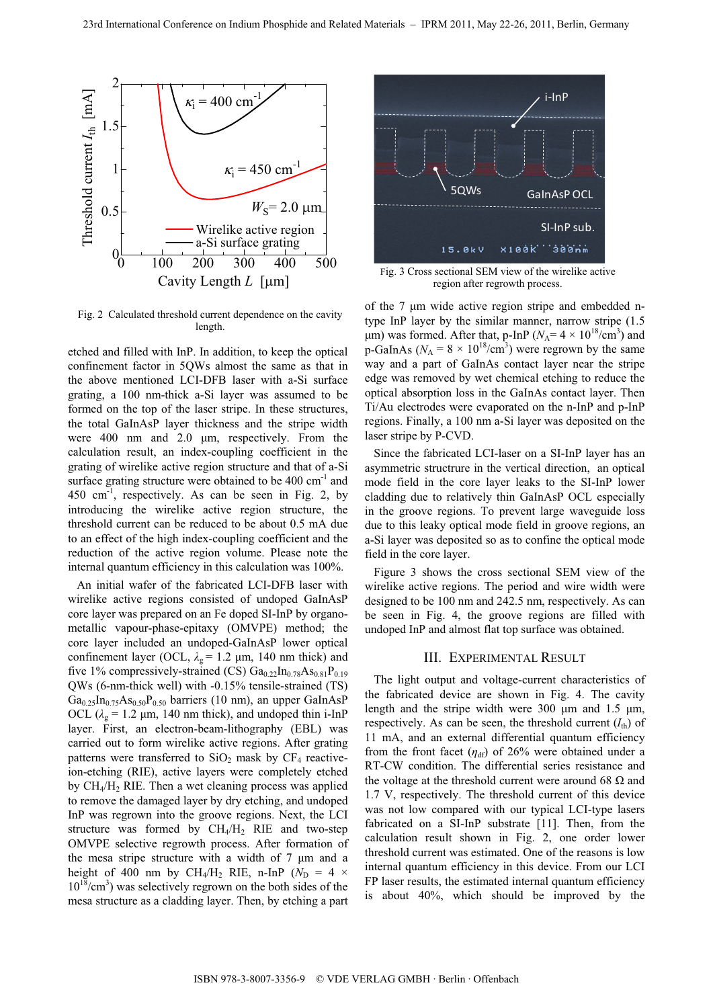

Fig. 2 Calculated threshold current dependence on the cavity length.

etched and filled with InP. In addition, to keep the optical confinement factor in 5QWs almost the same as that in the above mentioned LCI-DFB laser with a-Si surface grating, a 100 nm-thick a-Si layer was assumed to be formed on the top of the laser stripe. In these structures, the total GaInAsP layer thickness and the stripe width were  $400$  nm and  $2.0$   $\mu$ m, respectively. From the calculation result, an index-coupling coefficient in the grating of wirelike active region structure and that of a-Si surface grating structure were obtained to be  $400 \text{ cm}^{-1}$  and  $450 \text{ cm}^{-1}$ , respectively. As can be seen in Fig. 2, by introducing the wirelike active region structure, the threshold current can be reduced to be about 0.5 mA due to an effect of the high index-coupling coefficient and the reduction of the active region volume. Please note the internal quantum efficiency in this calculation was 100%.

 An initial wafer of the fabricated LCI-DFB laser with wirelike active regions consisted of undoped GaInAsP core layer was prepared on an Fe doped SI-InP by organometallic vapour-phase-epitaxy (OMVPE) method; the core layer included an undoped-GaInAsP lower optical confinement layer (OCL,  $\lambda_g$  = 1.2  $\mu$ m, 140 nm thick) and five 1% compressively-strained (CS)  $Ga_{0.22}In_{0.78}As_{0.81}P_{0.19}$ QWs (6-nm-thick well) with -0.15% tensile-strained (TS)  $Ga<sub>0.25</sub>In<sub>0.75</sub>As<sub>0.50</sub>P<sub>0.50</sub> barriers (10 nm), an upper GalnAsP$ OCL  $(\lambda_g = 1.2 \mu m, 140 \text{ nm} \text{ thick})$ , and undoped thin i-InP layer. First, an electron-beam-lithography (EBL) was carried out to form wirelike active regions. After grating patterns were transferred to  $SiO<sub>2</sub>$  mask by  $CF<sub>4</sub>$  reactiveion-etching (RIE), active layers were completely etched by  $CH<sub>4</sub>/H<sub>2</sub>$  RIE. Then a wet cleaning process was applied to remove the damaged layer by dry etching, and undoped InP was regrown into the groove regions. Next, the LCI structure was formed by  $CH_4/H_2$  RIE and two-step OMVPE selective regrowth process. After formation of the mesa stripe structure with a width of  $7 \mu m$  and a height of 400 nm by CH<sub>4</sub>/H<sub>2</sub> RIE, n-InP ( $N_D = 4 \times$  $10^{18}$ /cm<sup>3</sup>) was selectively regrown on the both sides of the mesa structure as a cladding layer. Then, by etching a part



Fig. 3 Cross sectional SEM view of the wirelike active region after regrowth process.

of the  $7 \mu m$  wide active region stripe and embedded ntype InP layer by the similar manner, narrow stripe (1.5  $\mu$ m) was formed. After that, p-InP ( $N_A$ = 4 × 10<sup>18</sup>/cm<sup>3</sup>) and p-GaInAs ( $N_A = 8 \times 10^{18}$ /cm<sup>3</sup>) were regrown by the same way and a part of GaInAs contact layer near the stripe edge was removed by wet chemical etching to reduce the optical absorption loss in the GaInAs contact layer. Then Ti/Au electrodes were evaporated on the n-InP and p-InP regions. Finally, a 100 nm a-Si layer was deposited on the laser stripe by P-CVD.

 Since the fabricated LCI-laser on a SI-InP layer has an asymmetric structrure in the vertical direction, an optical mode field in the core layer leaks to the SI-InP lower cladding due to relatively thin GaInAsP OCL especially in the groove regions. To prevent large waveguide loss due to this leaky optical mode field in groove regions, an a-Si layer was deposited so as to confine the optical mode field in the core layer.

 Figure 3 shows the cross sectional SEM view of the wirelike active regions. The period and wire width were designed to be 100 nm and 242.5 nm, respectively. As can be seen in Fig. 4, the groove regions are filled with undoped InP and almost flat top surface was obtained.

#### III. EXPERIMENTAL RESULT

 The light output and voltage-current characteristics of the fabricated device are shown in Fig. 4. The cavity length and the stripe width were 300  $\mu$ m and 1.5  $\mu$ m, respectively. As can be seen, the threshold current  $(I<sub>th</sub>)$  of 11 mA, and an external differential quantum efficiency from the front facet  $(\eta_{df})$  of 26% were obtained under a RT-CW condition. The differential series resistance and the voltage at the threshold current were around 68  $\Omega$  and 1.7 V, respectively. The threshold current of this device was not low compared with our typical LCI-type lasers fabricated on a SI-InP substrate [11]. Then, from the calculation result shown in Fig. 2, one order lower threshold current was estimated. One of the reasons is low internal quantum efficiency in this device. From our LCI FP laser results, the estimated internal quantum efficiency is about 40%, which should be improved by the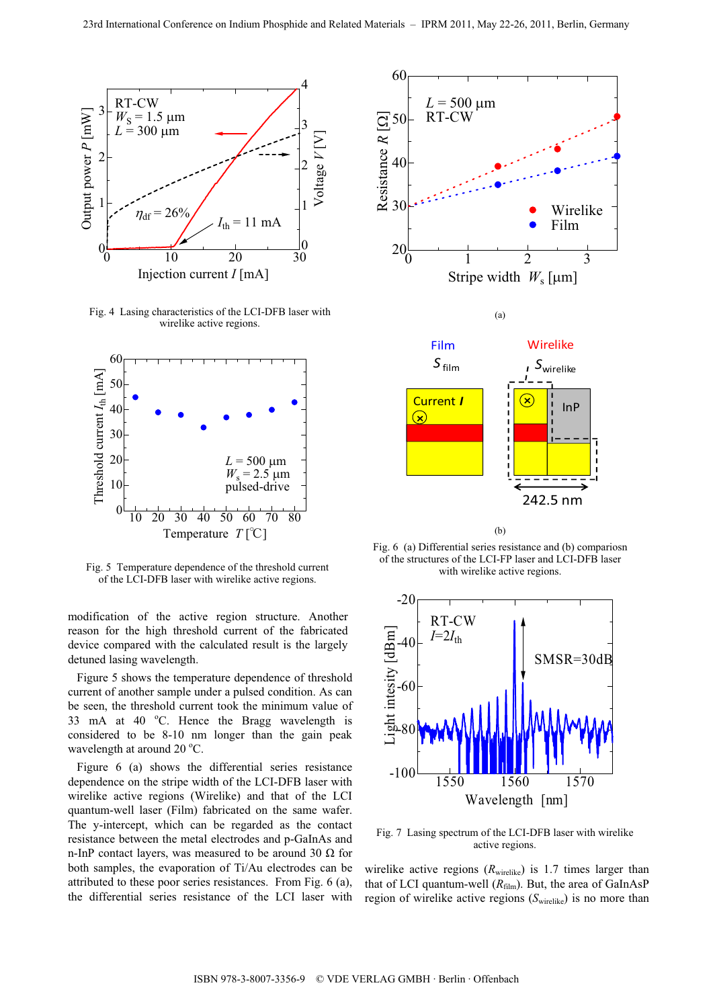

Fig. 4 Lasing characteristics of the LCI-DFB laser with wirelike active regions.



Fig. 5 Temperature dependence of the threshold current of the LCI-DFB laser with wirelike active regions.

modification of the active region structure. Another reason for the high threshold current of the fabricated device compared with the calculated result is the largely detuned lasing wavelength.

 Figure 5 shows the temperature dependence of threshold current of another sample under a pulsed condition. As can be seen, the threshold current took the minimum value of 33 mA at 40 °C. Hence the Bragg wavelength is considered to be 8-10 nm longer than the gain peak wavelength at around  $20^{\circ}$ C.

 Figure 6 (a) shows the differential series resistance dependence on the stripe width of the LCI-DFB laser with wirelike active regions (Wirelike) and that of the LCI quantum-well laser (Film) fabricated on the same wafer. The y-intercept, which can be regarded as the contact resistance between the metal electrodes and p-GaInAs and n-InP contact layers, was measured to be around 30  $\Omega$  for both samples, the evaporation of Ti/Au electrodes can be attributed to these poor series resistances. From Fig. 6 (a), the differential series resistance of the LCI laser with



(b)

Fig. 6 (a) Differential series resistance and (b) compariosn of the structures of the LCI-FP laser and LCI-DFB laser with wirelike active regions.



Fig. 7 Lasing spectrum of the LCI-DFB laser with wirelike active regions.

wirelike active regions  $(R_{\text{wirelike}})$  is 1.7 times larger than that of LCI quantum-well  $(R<sub>film</sub>)$ . But, the area of GaInAsP region of wirelike active regions  $(S_{\text{wirelike}})$  is no more than